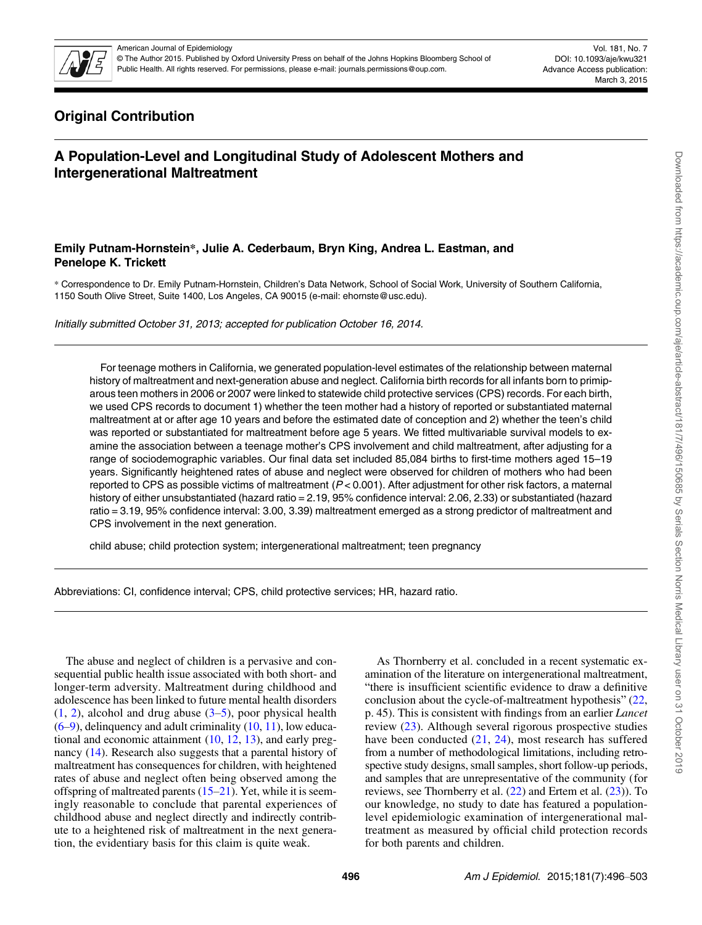

Public Health. All rights reserved. For permissions, please e-mail: journals.permissions@oup.com.

Vol. 181, No. 7 DOI: 10.1093/aje/kwu321 Advance Access publication: March 3, 2015

# Original Contribution

# A Population-Level and Longitudinal Study of Adolescent Mothers and Intergenerational Maltreatment

# Emily Putnam-Hornstein\*, Julie A. Cederbaum, Bryn King, Andrea L. Eastman, and Penelope K. Trickett

\* Correspondence to Dr. Emily Putnam-Hornstein, Children's Data Network, School of Social Work, University of Southern California, 1150 South Olive Street, Suite 1400, Los Angeles, CA 90015 (e-mail: ehornste@usc.edu).

Initially submitted October 31, 2013; accepted for publication October 16, 2014.

For teenage mothers in California, we generated population-level estimates of the relationship between maternal history of maltreatment and next-generation abuse and neglect. California birth records for all infants born to primiparous teen mothers in 2006 or 2007 were linked to statewide child protective services (CPS) records. For each birth, we used CPS records to document 1) whether the teen mother had a history of reported or substantiated maternal maltreatment at or after age 10 years and before the estimated date of conception and 2) whether the teen's child was reported or substantiated for maltreatment before age 5 years. We fitted multivariable survival models to examine the association between a teenage mother's CPS involvement and child maltreatment, after adjusting for a range of sociodemographic variables. Our final data set included 85,084 births to first-time mothers aged 15–19 years. Significantly heightened rates of abuse and neglect were observed for children of mothers who had been reported to CPS as possible victims of maltreatment  $(P < 0.001)$ . After adjustment for other risk factors, a maternal history of either unsubstantiated (hazard ratio = 2.19, 95% confidence interval: 2.06, 2.33) or substantiated (hazard ratio = 3.19, 95% confidence interval: 3.00, 3.39) maltreatment emerged as a strong predictor of maltreatment and CPS involvement in the next generation.

child abuse; child protection system; intergenerational maltreatment; teen pregnancy

Abbreviations: CI, confidence interval; CPS, child protective services; HR, hazard ratio.

The abuse and neglect of children is a pervasive and consequential public health issue associated with both short- and longer-term adversity. Maltreatment during childhood and adolescence has been linked to future mental health disorders  $(1, 2)$  $(1, 2)$  $(1, 2)$  $(1, 2)$ , alcohol and drug abuse  $(3-5)$  $(3-5)$  $(3-5)$  $(3-5)$  $(3-5)$ , poor physical health  $(6-9)$  $(6-9)$  $(6-9)$  $(6-9)$ , delinquency and adult criminality  $(10, 11)$  $(10, 11)$  $(10, 11)$  $(10, 11)$ , low educational and economic attainment ([10,](#page-7-0) [12,](#page-7-0) [13\)](#page-7-0), and early pregnancy ([14\)](#page-7-0). Research also suggests that a parental history of maltreatment has consequences for children, with heightened rates of abuse and neglect often being observed among the offspring of maltreated parents  $(15-21)$  $(15-21)$  $(15-21)$  $(15-21)$ . Yet, while it is seemingly reasonable to conclude that parental experiences of childhood abuse and neglect directly and indirectly contribute to a heightened risk of maltreatment in the next generation, the evidentiary basis for this claim is quite weak.

As Thornberry et al. concluded in a recent systematic examination of the literature on intergenerational maltreatment, "there is insufficient scientific evidence to draw a definitive conclusion about the cycle-of-maltreatment hypothesis" [\(22](#page-7-0), p. 45). This is consistent with findings from an earlier Lancet review [\(23](#page-7-0)). Although several rigorous prospective studies have been conducted [\(21,](#page-7-0) [24\)](#page-7-0), most research has suffered from a number of methodological limitations, including retrospective study designs, small samples, short follow-up periods, and samples that are unrepresentative of the community (for reviews, see Thornberry et al.  $(22)$  $(22)$  and Ertem et al.  $(23)$  $(23)$ ). To our knowledge, no study to date has featured a populationlevel epidemiologic examination of intergenerational maltreatment as measured by official child protection records for both parents and children.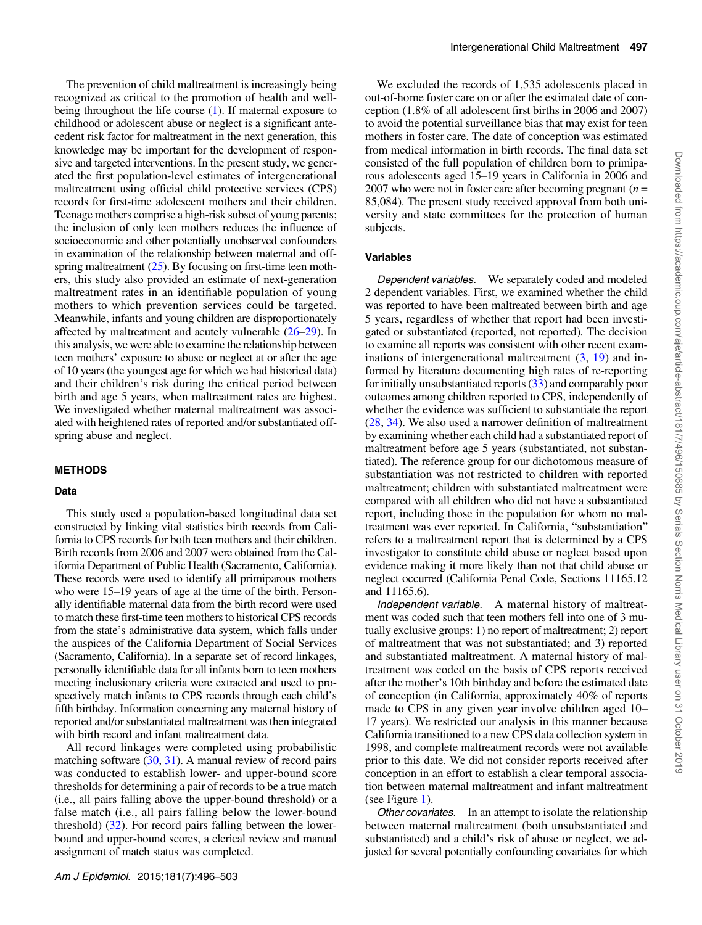The prevention of child maltreatment is increasingly being recognized as critical to the promotion of health and well-being throughout the life course [\(1](#page-6-0)). If maternal exposure to childhood or adolescent abuse or neglect is a significant antecedent risk factor for maltreatment in the next generation, this knowledge may be important for the development of responsive and targeted interventions. In the present study, we generated the first population-level estimates of intergenerational maltreatment using official child protective services (CPS) records for first-time adolescent mothers and their children. Teenage mothers comprise a high-risk subset of young parents; the inclusion of only teen mothers reduces the influence of socioeconomic and other potentially unobserved confounders in examination of the relationship between maternal and offspring maltreatment  $(25)$  $(25)$ . By focusing on first-time teen mothers, this study also provided an estimate of next-generation maltreatment rates in an identifiable population of young mothers to which prevention services could be targeted. Meanwhile, infants and young children are disproportionately affected by maltreatment and acutely vulnerable [\(26](#page-7-0)–[29](#page-7-0)). In this analysis, we were able to examine the relationship between teen mothers' exposure to abuse or neglect at or after the age of 10 years (the youngest age for which we had historical data) and their children's risk during the critical period between birth and age 5 years, when maltreatment rates are highest. We investigated whether maternal maltreatment was associated with heightened rates of reported and/or substantiated offspring abuse and neglect.

# METHODS

# Data

This study used a population-based longitudinal data set constructed by linking vital statistics birth records from California to CPS records for both teen mothers and their children. Birth records from 2006 and 2007 were obtained from the California Department of Public Health (Sacramento, California). These records were used to identify all primiparous mothers who were 15–19 years of age at the time of the birth. Personally identifiable maternal data from the birth record were used to match these first-time teen mothers to historical CPS records from the state's administrative data system, which falls under the auspices of the California Department of Social Services (Sacramento, California). In a separate set of record linkages, personally identifiable data for all infants born to teen mothers meeting inclusionary criteria were extracted and used to prospectively match infants to CPS records through each child's fifth birthday. Information concerning any maternal history of reported and/or substantiated maltreatment was then integrated with birth record and infant maltreatment data.

All record linkages were completed using probabilistic matching software [\(30](#page-7-0), [31](#page-7-0)). A manual review of record pairs was conducted to establish lower- and upper-bound score thresholds for determining a pair of records to be a true match (i.e., all pairs falling above the upper-bound threshold) or a false match (i.e., all pairs falling below the lower-bound threshold) ([32\)](#page-7-0). For record pairs falling between the lowerbound and upper-bound scores, a clerical review and manual assignment of match status was completed.

We excluded the records of 1,535 adolescents placed in out-of-home foster care on or after the estimated date of conception (1.8% of all adolescent first births in 2006 and 2007) to avoid the potential surveillance bias that may exist for teen mothers in foster care. The date of conception was estimated from medical information in birth records. The final data set consisted of the full population of children born to primiparous adolescents aged 15–19 years in California in 2006 and 2007 who were not in foster care after becoming pregnant  $(n = 1)$ 85,084). The present study received approval from both university and state committees for the protection of human subjects.

# Variables

Dependent variables. We separately coded and modeled 2 dependent variables. First, we examined whether the child was reported to have been maltreated between birth and age 5 years, regardless of whether that report had been investigated or substantiated (reported, not reported). The decision to examine all reports was consistent with other recent examinations of intergenerational maltreatment ([3,](#page-7-0) [19\)](#page-7-0) and informed by literature documenting high rates of re-reporting for initially unsubstantiated reports [\(33](#page-7-0)) and comparably poor outcomes among children reported to CPS, independently of whether the evidence was sufficient to substantiate the report [\(28](#page-7-0), [34](#page-7-0)). We also used a narrower definition of maltreatment by examining whether each child had a substantiated report of maltreatment before age 5 years (substantiated, not substantiated). The reference group for our dichotomous measure of substantiation was not restricted to children with reported maltreatment; children with substantiated maltreatment were compared with all children who did not have a substantiated report, including those in the population for whom no maltreatment was ever reported. In California, "substantiation" refers to a maltreatment report that is determined by a CPS investigator to constitute child abuse or neglect based upon evidence making it more likely than not that child abuse or neglect occurred (California Penal Code, Sections 11165.12 and 11165.6).

Independent variable. A maternal history of maltreatment was coded such that teen mothers fell into one of 3 mutually exclusive groups: 1) no report of maltreatment; 2) report of maltreatment that was not substantiated; and 3) reported and substantiated maltreatment. A maternal history of maltreatment was coded on the basis of CPS reports received after the mother's 10th birthday and before the estimated date of conception (in California, approximately 40% of reports made to CPS in any given year involve children aged 10– 17 years). We restricted our analysis in this manner because California transitioned to a new CPS data collection system in 1998, and complete maltreatment records were not available prior to this date. We did not consider reports received after conception in an effort to establish a clear temporal association between maternal maltreatment and infant maltreatment (see Figure [1](#page-2-0)).

Other covariates. In an attempt to isolate the relationship between maternal maltreatment (both unsubstantiated and substantiated) and a child's risk of abuse or neglect, we adjusted for several potentially confounding covariates for which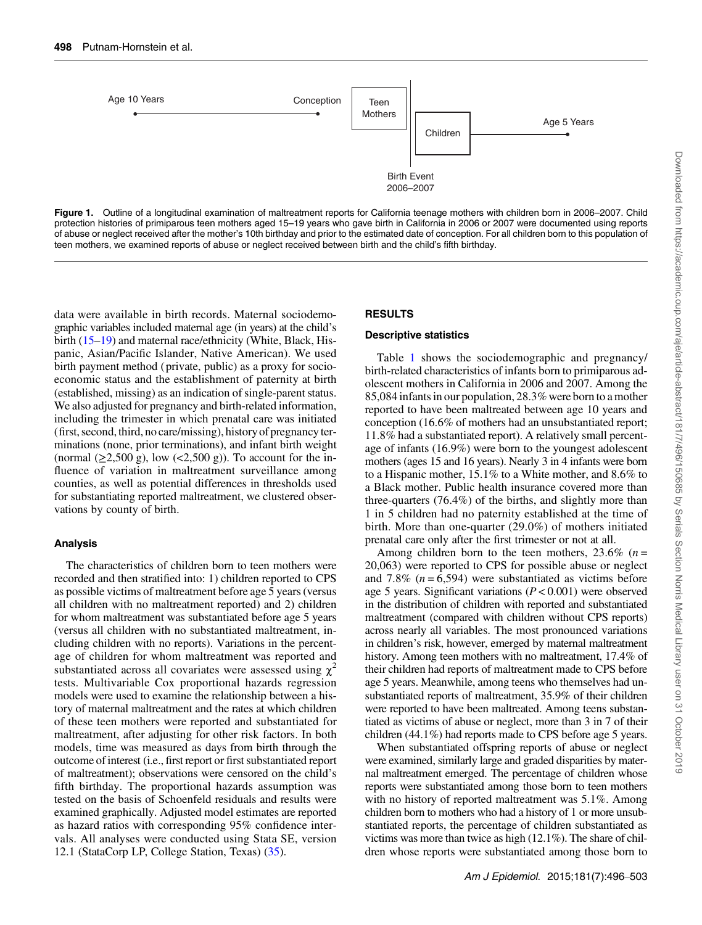<span id="page-2-0"></span>

Figure 1. Outline of a longitudinal examination of maltreatment reports for California teenage mothers with children born in 2006–2007. Child protection histories of primiparous teen mothers aged 15–19 years who gave birth in California in 2006 or 2007 were documented using reports of abuse or neglect received after the mother's 10th birthday and prior to the estimated date of conception. For all children born to this population of teen mothers, we examined reports of abuse or neglect received between birth and the child's fifth birthday.

data were available in birth records. Maternal sociodemographic variables included maternal age (in years) at the child's birth ([15](#page-7-0)–[19\)](#page-7-0) and maternal race/ethnicity (White, Black, Hispanic, Asian/Pacific Islander, Native American). We used birth payment method ( private, public) as a proxy for socioeconomic status and the establishment of paternity at birth (established, missing) as an indication of single-parent status. We also adjusted for pregnancy and birth-related information, including the trimester in which prenatal care was initiated (first, second, third, no care/missing), history of pregnancyterminations (none, prior terminations), and infant birth weight (normal  $(\geq 2,500 \text{ g})$ , low  $(\leq 2,500 \text{ g})$ ). To account for the influence of variation in maltreatment surveillance among counties, as well as potential differences in thresholds used for substantiating reported maltreatment, we clustered observations by county of birth.

# Analysis

The characteristics of children born to teen mothers were recorded and then stratified into: 1) children reported to CPS as possible victims of maltreatment before age 5 years (versus all children with no maltreatment reported) and 2) children for whom maltreatment was substantiated before age 5 years (versus all children with no substantiated maltreatment, including children with no reports). Variations in the percentage of children for whom maltreatment was reported and substantiated across all covariates were assessed using  $\chi^2$ tests. Multivariable Cox proportional hazards regression models were used to examine the relationship between a history of maternal maltreatment and the rates at which children of these teen mothers were reported and substantiated for maltreatment, after adjusting for other risk factors. In both models, time was measured as days from birth through the outcome of interest (i.e., first report or first substantiated report of maltreatment); observations were censored on the child's fifth birthday. The proportional hazards assumption was tested on the basis of Schoenfeld residuals and results were examined graphically. Adjusted model estimates are reported as hazard ratios with corresponding 95% confidence intervals. All analyses were conducted using Stata SE, version 12.1 (StataCorp LP, College Station, Texas) ([35\)](#page-7-0).

# RESULTS

#### Descriptive statistics

Table [1](#page-3-0) shows the sociodemographic and pregnancy/ birth-related characteristics of infants born to primiparous adolescent mothers in California in 2006 and 2007. Among the 85,084 infants in our population, 28.3% were born to a mother reported to have been maltreated between age 10 years and conception (16.6% of mothers had an unsubstantiated report; 11.8% had a substantiated report). A relatively small percentage of infants (16.9%) were born to the youngest adolescent mothers (ages 15 and 16 years). Nearly 3 in 4 infants were born to a Hispanic mother, 15.1% to a White mother, and 8.6% to a Black mother. Public health insurance covered more than three-quarters (76.4%) of the births, and slightly more than 1 in 5 children had no paternity established at the time of birth. More than one-quarter (29.0%) of mothers initiated prenatal care only after the first trimester or not at all.

Among children born to the teen mothers, 23.6% ( $n =$ 20,063) were reported to CPS for possible abuse or neglect and 7.8% ( $n = 6,594$ ) were substantiated as victims before age 5 years. Significant variations  $(P < 0.001)$  were observed in the distribution of children with reported and substantiated maltreatment (compared with children without CPS reports) across nearly all variables. The most pronounced variations in children's risk, however, emerged by maternal maltreatment history. Among teen mothers with no maltreatment, 17.4% of their children had reports of maltreatment made to CPS before age 5 years. Meanwhile, among teens who themselves had unsubstantiated reports of maltreatment, 35.9% of their children were reported to have been maltreated. Among teens substantiated as victims of abuse or neglect, more than 3 in 7 of their children (44.1%) had reports made to CPS before age 5 years.

When substantiated offspring reports of abuse or neglect were examined, similarly large and graded disparities by maternal maltreatment emerged. The percentage of children whose reports were substantiated among those born to teen mothers with no history of reported maltreatment was 5.1%. Among children born to mothers who had a history of 1 or more unsubstantiated reports, the percentage of children substantiated as victims was more than twice as high (12.1%). The share of children whose reports were substantiated among those born to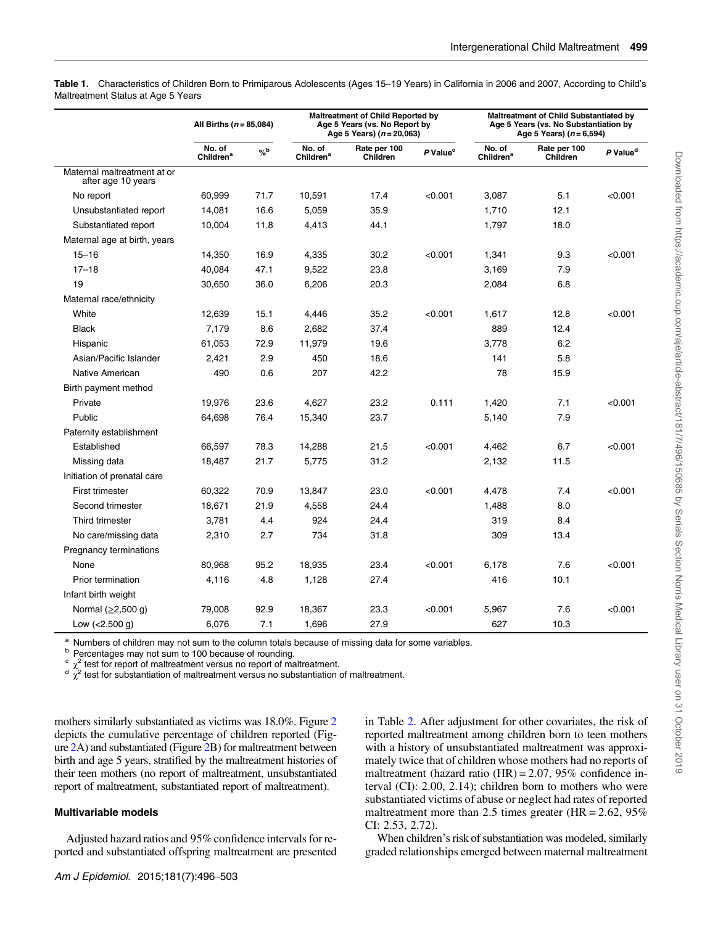<span id="page-3-0"></span>Table 1. Characteristics of Children Born to Primiparous Adolescents (Ages 15–19 Years) in California in 2006 and 2007, According to Child's Maltreatment Status at Age 5 Years

|                                                   | All Births ( $n = 85,084$ )     |        | Maltreatment of Child Reported by<br>Age 5 Years (vs. No Report by<br>Age 5 Years) $(n = 20,063)$ |                                 |                      | Maltreatment of Child Substantiated by<br>Age 5 Years (vs. No Substantiation by<br>Age 5 Years) $(n = 6,594)$ |                                 |                      |
|---------------------------------------------------|---------------------------------|--------|---------------------------------------------------------------------------------------------------|---------------------------------|----------------------|---------------------------------------------------------------------------------------------------------------|---------------------------------|----------------------|
|                                                   | No. of<br>Children <sup>a</sup> | $\%$ b | No. of<br>Children <sup>a</sup>                                                                   | Rate per 100<br><b>Children</b> | P Value <sup>c</sup> | No. of<br>Children <sup>a</sup>                                                                               | Rate per 100<br><b>Children</b> | P Value <sup>d</sup> |
| Maternal maltreatment at or<br>after age 10 years |                                 |        |                                                                                                   |                                 |                      |                                                                                                               |                                 |                      |
| No report                                         | 60,999                          | 71.7   | 10,591                                                                                            | 17.4                            | < 0.001              | 3,087                                                                                                         | 5.1                             | < 0.001              |
| Unsubstantiated report                            | 14,081                          | 16.6   | 5,059                                                                                             | 35.9                            |                      | 1,710                                                                                                         | 12.1                            |                      |
| Substantiated report                              | 10,004                          | 11.8   | 4,413                                                                                             | 44.1                            |                      | 1,797                                                                                                         | 18.0                            |                      |
| Maternal age at birth, years                      |                                 |        |                                                                                                   |                                 |                      |                                                                                                               |                                 |                      |
| $15 - 16$                                         | 14,350                          | 16.9   | 4,335                                                                                             | 30.2                            | < 0.001              | 1,341                                                                                                         | 9.3                             | < 0.001              |
| $17 - 18$                                         | 40,084                          | 47.1   | 9,522                                                                                             | 23.8                            |                      | 3,169                                                                                                         | 7.9                             |                      |
| 19                                                | 30,650                          | 36.0   | 6,206                                                                                             | 20.3                            |                      | 2,084                                                                                                         | 6.8                             |                      |
| Maternal race/ethnicity                           |                                 |        |                                                                                                   |                                 |                      |                                                                                                               |                                 |                      |
| White                                             | 12,639                          | 15.1   | 4,446                                                                                             | 35.2                            | < 0.001              | 1,617                                                                                                         | 12.8                            | < 0.001              |
| <b>Black</b>                                      | 7,179                           | 8.6    | 2,682                                                                                             | 37.4                            |                      | 889                                                                                                           | 12.4                            |                      |
| Hispanic                                          | 61,053                          | 72.9   | 11,979                                                                                            | 19.6                            |                      | 3.778                                                                                                         | 6.2                             |                      |
| Asian/Pacific Islander                            | 2,421                           | 2.9    | 450                                                                                               | 18.6                            |                      | 141                                                                                                           | 5.8                             |                      |
| Native American                                   | 490                             | 0.6    | 207                                                                                               | 42.2                            |                      | 78                                                                                                            | 15.9                            |                      |
| Birth payment method                              |                                 |        |                                                                                                   |                                 |                      |                                                                                                               |                                 |                      |
| Private                                           | 19,976                          | 23.6   | 4,627                                                                                             | 23.2                            | 0.111                | 1,420                                                                                                         | 7.1                             | < 0.001              |
| Public                                            | 64,698                          | 76.4   | 15,340                                                                                            | 23.7                            |                      | 5,140                                                                                                         | 7.9                             |                      |
| Paternity establishment                           |                                 |        |                                                                                                   |                                 |                      |                                                                                                               |                                 |                      |
| Established                                       | 66,597                          | 78.3   | 14,288                                                                                            | 21.5                            | < 0.001              | 4,462                                                                                                         | 6.7                             | < 0.001              |
| Missing data                                      | 18,487                          | 21.7   | 5,775                                                                                             | 31.2                            |                      | 2,132                                                                                                         | 11.5                            |                      |
| Initiation of prenatal care                       |                                 |        |                                                                                                   |                                 |                      |                                                                                                               |                                 |                      |
| <b>First trimester</b>                            | 60,322                          | 70.9   | 13,847                                                                                            | 23.0                            | < 0.001              | 4,478                                                                                                         | 7.4                             | < 0.001              |
| Second trimester                                  | 18,671                          | 21.9   | 4,558                                                                                             | 24.4                            |                      | 1,488                                                                                                         | 8.0                             |                      |
| Third trimester                                   | 3,781                           | 4.4    | 924                                                                                               | 24.4                            |                      | 319                                                                                                           | 8.4                             |                      |
| No care/missing data                              | 2,310                           | 2.7    | 734                                                                                               | 31.8                            |                      | 309                                                                                                           | 13.4                            |                      |
| Pregnancy terminations                            |                                 |        |                                                                                                   |                                 |                      |                                                                                                               |                                 |                      |
| None                                              | 80,968                          | 95.2   | 18,935                                                                                            | 23.4                            | < 0.001              | 6,178                                                                                                         | 7.6                             | < 0.001              |
| Prior termination                                 | 4,116                           | 4.8    | 1,128                                                                                             | 27.4                            |                      | 416                                                                                                           | 10.1                            |                      |
| Infant birth weight                               |                                 |        |                                                                                                   |                                 |                      |                                                                                                               |                                 |                      |
| Normal $(\geq 2,500 \text{ g})$                   | 79,008                          | 92.9   | 18,367                                                                                            | 23.3                            | < 0.001              | 5,967                                                                                                         | 7.6                             | < 0.001              |
| Low $(<2,500 g)$                                  | 6,076                           | 7.1    | 1,696                                                                                             | 27.9                            |                      | 627                                                                                                           | 10.3                            |                      |

<sup>a</sup> Numbers of children may not sum to the column totals because of missing data for some variables.<br>
<sup>b</sup> Percentages may not sum to 100 because of rounding.<br>
<sup>c</sup>  $\chi^2$  test for report of maltreatment versus no report of

mothers similarly substantiated as victims was 18.0%. Figure [2](#page-4-0) depicts the cumulative percentage of children reported (Figure [2A](#page-4-0)) and substantiated (Figure [2B](#page-4-0)) for maltreatment between birth and age 5 years, stratified by the maltreatment histories of their teen mothers (no report of maltreatment, unsubstantiated report of maltreatment, substantiated report of maltreatment).

# Multivariable models

Adjusted hazard ratios and 95% confidence intervals for reported and substantiated offspring maltreatment are presented in Table [2.](#page-5-0) After adjustment for other covariates, the risk of reported maltreatment among children born to teen mothers with a history of unsubstantiated maltreatment was approximately twice that of children whose mothers had no reports of maltreatment (hazard ratio  $(HR) = 2.07$ , 95% confidence interval (CI): 2.00, 2.14); children born to mothers who were substantiated victims of abuse or neglect had rates of reported maltreatment more than 2.5 times greater (HR =  $2.62$ ,  $95\%$ ) CI: 2.53, 2.72).

When children's risk of substantiation was modeled, similarly graded relationships emerged between maternal maltreatment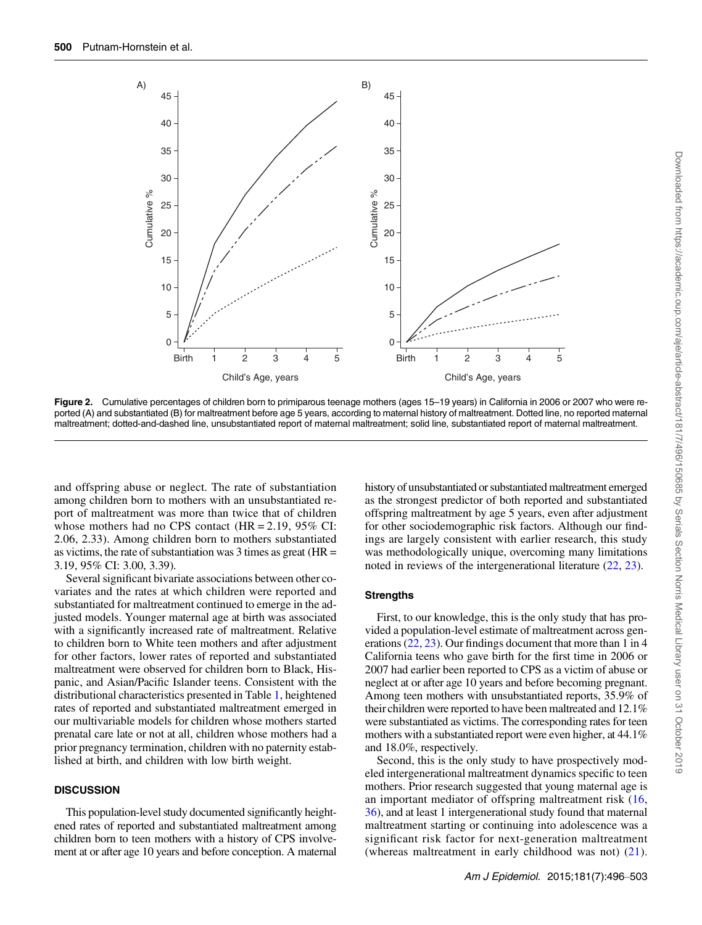<span id="page-4-0"></span>

Figure 2. Cumulative percentages of children born to primiparous teenage mothers (ages 15-19 years) in California in 2006 or 2007 who were reported (A) and substantiated (B) for maltreatment before age 5 years, according to maternal history of maltreatment. Dotted line, no reported maternal maltreatment; dotted-and-dashed line, unsubstantiated report of maternal maltreatment; solid line, substantiated report of maternal maltreatment.

and offspring abuse or neglect. The rate of substantiation among children born to mothers with an unsubstantiated report of maltreatment was more than twice that of children whose mothers had no CPS contact (HR = 2.19, 95% CI: 2.06, 2.33). Among children born to mothers substantiated as victims, the rate of substantiation was 3 times as great (HR = 3.19, 95% CI: 3.00, 3.39).

Several significant bivariate associations between other covariates and the rates at which children were reported and substantiated for maltreatment continued to emerge in the adjusted models. Younger maternal age at birth was associated with a significantly increased rate of maltreatment. Relative to children born to White teen mothers and after adjustment for other factors, lower rates of reported and substantiated maltreatment were observed for children born to Black, Hispanic, and Asian/Pacific Islander teens. Consistent with the distributional characteristics presented in Table [1,](#page-3-0) heightened rates of reported and substantiated maltreatment emerged in our multivariable models for children whose mothers started prenatal care late or not at all, children whose mothers had a prior pregnancy termination, children with no paternity established at birth, and children with low birth weight.

# **DISCUSSION**

This population-level study documented significantly heightened rates of reported and substantiated maltreatment among children born to teen mothers with a history of CPS involvement at or after age 10 years and before conception. A maternal history of unsubstantiated or substantiated maltreatment emerged as the strongest predictor of both reported and substantiated offspring maltreatment by age 5 years, even after adjustment for other sociodemographic risk factors. Although our findings are largely consistent with earlier research, this study was methodologically unique, overcoming many limitations noted in reviews of the intergenerational literature ([22,](#page-7-0) [23\)](#page-7-0).

#### **Strengths**

First, to our knowledge, this is the only study that has provided a population-level estimate of maltreatment across generations ([22,](#page-7-0) [23](#page-7-0)). Our findings document that more than 1 in 4 California teens who gave birth for the first time in 2006 or 2007 had earlier been reported to CPS as a victim of abuse or neglect at or after age 10 years and before becoming pregnant. Among teen mothers with unsubstantiated reports, 35.9% of their children were reported to have been maltreated and 12.1% were substantiated as victims. The corresponding rates for teen mothers with a substantiated report were even higher, at 44.1% and 18.0%, respectively.

Second, this is the only study to have prospectively modeled intergenerational maltreatment dynamics specific to teen mothers. Prior research suggested that young maternal age is an important mediator of offspring maltreatment risk ([16](#page-7-0), [36\)](#page-7-0), and at least 1 intergenerational study found that maternal maltreatment starting or continuing into adolescence was a significant risk factor for next-generation maltreatment (whereas maltreatment in early childhood was not)  $(21)$  $(21)$ .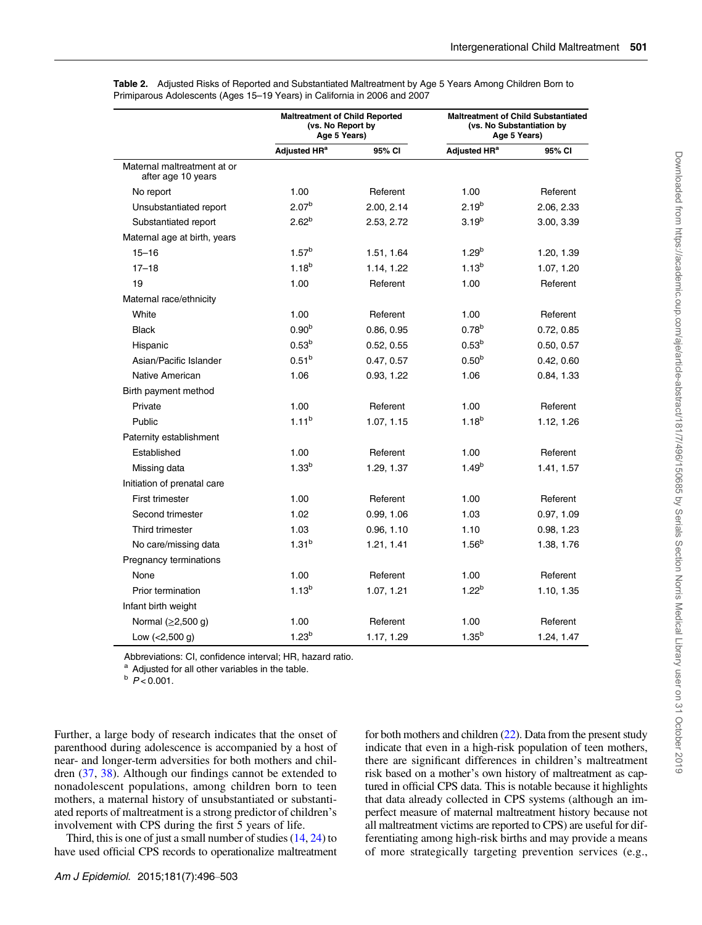|                                                   | <b>Maltreatment of Child Reported</b><br>(vs. No Report by<br>Age 5 Years) |            | <b>Maltreatment of Child Substantiated</b><br>(vs. No Substantiation by<br>Age 5 Years) |            |  |
|---------------------------------------------------|----------------------------------------------------------------------------|------------|-----------------------------------------------------------------------------------------|------------|--|
|                                                   | Adjusted HR <sup>a</sup>                                                   | 95% CI     | Adjusted HR <sup>a</sup>                                                                | 95% CI     |  |
| Maternal maltreatment at or<br>after age 10 years |                                                                            |            |                                                                                         |            |  |
| No report                                         | 1.00                                                                       | Referent   | 1.00                                                                                    | Referent   |  |
| Unsubstantiated report                            | 2.07 <sup>b</sup>                                                          | 2.00, 2.14 | $2.19^{b}$                                                                              | 2.06, 2.33 |  |
| Substantiated report                              | 2.62 <sup>b</sup>                                                          | 2.53, 2.72 | 3.19 <sup>b</sup>                                                                       | 3.00, 3.39 |  |
| Maternal age at birth, years                      |                                                                            |            |                                                                                         |            |  |
| $15 - 16$                                         | $1.57^{b}$                                                                 | 1.51, 1.64 | 1.29 <sup>b</sup>                                                                       | 1.20, 1.39 |  |
| $17 - 18$                                         | $1.18^{b}$                                                                 | 1.14, 1.22 | $1.13^{b}$                                                                              | 1.07, 1.20 |  |
| 19                                                | 1.00                                                                       | Referent   | 1.00                                                                                    | Referent   |  |
| Maternal race/ethnicity                           |                                                                            |            |                                                                                         |            |  |
| White                                             | 1.00                                                                       | Referent   | 1.00                                                                                    | Referent   |  |
| <b>Black</b>                                      | 0.90 <sup>b</sup>                                                          | 0.86, 0.95 | 0.78 <sup>b</sup>                                                                       | 0.72, 0.85 |  |
| Hispanic                                          | $0.53^{b}$                                                                 | 0.52, 0.55 | 0.53 <sup>b</sup>                                                                       | 0.50, 0.57 |  |
| Asian/Pacific Islander                            | 0.51 <sup>b</sup>                                                          | 0.47, 0.57 | 0.50 <sup>b</sup>                                                                       | 0.42, 0.60 |  |
| Native American                                   | 1.06                                                                       | 0.93, 1.22 | 1.06                                                                                    | 0.84, 1.33 |  |
| Birth payment method                              |                                                                            |            |                                                                                         |            |  |
| Private                                           | 1.00                                                                       | Referent   | 1.00                                                                                    | Referent   |  |
| Public                                            | $1.11^{b}$                                                                 | 1.07, 1.15 | $1.18^{b}$                                                                              | 1.12, 1.26 |  |
| Paternity establishment                           |                                                                            |            |                                                                                         |            |  |
| Established                                       | 1.00                                                                       | Referent   | 1.00                                                                                    | Referent   |  |
| Missing data                                      | 1.33 <sup>b</sup>                                                          | 1.29, 1.37 | 1.49 <sup>b</sup>                                                                       | 1.41, 1.57 |  |
| Initiation of prenatal care                       |                                                                            |            |                                                                                         |            |  |
| <b>First trimester</b>                            | 1.00                                                                       | Referent   | 1.00                                                                                    | Referent   |  |
| Second trimester                                  | 1.02                                                                       | 0.99, 1.06 | 1.03                                                                                    | 0.97, 1.09 |  |
| Third trimester                                   | 1.03                                                                       | 0.96, 1.10 | 1.10                                                                                    | 0.98, 1.23 |  |
| No care/missing data                              | 1.31 <sup>b</sup>                                                          | 1.21, 1.41 | $1.56^{b}$                                                                              | 1.38, 1.76 |  |
| Pregnancy terminations                            |                                                                            |            |                                                                                         |            |  |
| None                                              | 1.00                                                                       | Referent   | 1.00                                                                                    | Referent   |  |
| Prior termination                                 | 1.13 <sup>b</sup>                                                          | 1.07, 1.21 | 1.22 <sup>b</sup>                                                                       | 1.10, 1.35 |  |
| Infant birth weight                               |                                                                            |            |                                                                                         |            |  |
| Normal $(\geq 2,500 \text{ g})$                   | 1.00                                                                       | Referent   | 1.00                                                                                    | Referent   |  |
| Low $(<2,500 g)$                                  | 1.23 <sup>b</sup>                                                          | 1.17, 1.29 | $1.35^{b}$                                                                              | 1.24, 1.47 |  |

<span id="page-5-0"></span>Table 2. Adjusted Risks of Reported and Substantiated Maltreatment by Age 5 Years Among Children Born to Primiparous Adolescents (Ages 15–19 Years) in California in 2006 and 2007

Abbreviations: CI, confidence interval; HR, hazard ratio.

<sup>a</sup> Adjusted for all other variables in the table.<br> $\frac{b}{P}$  < 0.001.

Further, a large body of research indicates that the onset of parenthood during adolescence is accompanied by a host of near- and longer-term adversities for both mothers and children ([37,](#page-7-0) [38](#page-7-0)). Although our findings cannot be extended to nonadolescent populations, among children born to teen mothers, a maternal history of unsubstantiated or substantiated reports of maltreatment is a strong predictor of children's involvement with CPS during the first 5 years of life.

Third, this is one of just a small number of studies ([14](#page-7-0), [24](#page-7-0)) to have used official CPS records to operationalize maltreatment

for both mothers and children  $(22)$  $(22)$  $(22)$ . Data from the present study indicate that even in a high-risk population of teen mothers, there are significant differences in children's maltreatment risk based on a mother's own history of maltreatment as captured in official CPS data. This is notable because it highlights that data already collected in CPS systems (although an imperfect measure of maternal maltreatment history because not all maltreatment victims are reported to CPS) are useful for differentiating among high-risk births and may provide a means of more strategically targeting prevention services (e.g.,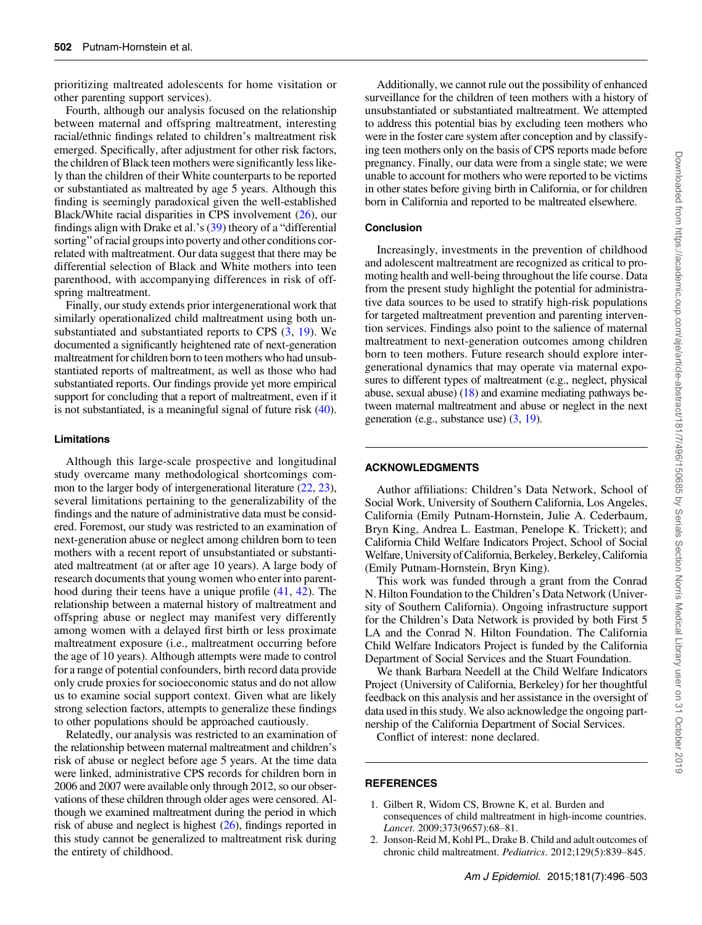<span id="page-6-0"></span>prioritizing maltreated adolescents for home visitation or other parenting support services).

Fourth, although our analysis focused on the relationship between maternal and offspring maltreatment, interesting racial/ethnic findings related to children's maltreatment risk emerged. Specifically, after adjustment for other risk factors, the children of Black teen mothers were significantly less likely than the children of their White counterparts to be reported or substantiated as maltreated by age 5 years. Although this finding is seemingly paradoxical given the well-established Black/White racial disparities in CPS involvement [\(26](#page-7-0)), our findings align with Drake et al.'s [\(39](#page-7-0)) theory of a "differential sorting" of racial groups into poverty and other conditions correlated with maltreatment. Our data suggest that there may be differential selection of Black and White mothers into teen parenthood, with accompanying differences in risk of offspring maltreatment.

Finally, our study extends prior intergenerational work that similarly operationalized child maltreatment using both unsubstantiated and substantiated reports to CPS [\(3](#page-7-0), [19](#page-7-0)). We documented a significantly heightened rate of next-generation maltreatment for children born to teen mothers who had unsubstantiated reports of maltreatment, as well as those who had substantiated reports. Our findings provide yet more empirical support for concluding that a report of maltreatment, even if it is not substantiated, is a meaningful signal of future risk [\(40](#page-7-0)).

# Limitations

Although this large-scale prospective and longitudinal study overcame many methodological shortcomings common to the larger body of intergenerational literature ([22](#page-7-0), [23](#page-7-0)), several limitations pertaining to the generalizability of the findings and the nature of administrative data must be considered. Foremost, our study was restricted to an examination of next-generation abuse or neglect among children born to teen mothers with a recent report of unsubstantiated or substantiated maltreatment (at or after age 10 years). A large body of research documents that young women who enter into parenthood during their teens have a unique profile ([41,](#page-7-0) [42\)](#page-7-0). The relationship between a maternal history of maltreatment and offspring abuse or neglect may manifest very differently among women with a delayed first birth or less proximate maltreatment exposure (i.e., maltreatment occurring before the age of 10 years). Although attempts were made to control for a range of potential confounders, birth record data provide only crude proxies for socioeconomic status and do not allow us to examine social support context. Given what are likely strong selection factors, attempts to generalize these findings to other populations should be approached cautiously.

Relatedly, our analysis was restricted to an examination of the relationship between maternal maltreatment and children's risk of abuse or neglect before age 5 years. At the time data were linked, administrative CPS records for children born in 2006 and 2007 were available only through 2012, so our observations of these children through older ages were censored. Although we examined maltreatment during the period in which risk of abuse and neglect is highest [\(26\)](#page-7-0), findings reported in this study cannot be generalized to maltreatment risk during the entirety of childhood.

Additionally, we cannot rule out the possibility of enhanced surveillance for the children of teen mothers with a history of unsubstantiated or substantiated maltreatment. We attempted to address this potential bias by excluding teen mothers who were in the foster care system after conception and by classifying teen mothers only on the basis of CPS reports made before pregnancy. Finally, our data were from a single state; we were unable to account for mothers who were reported to be victims in other states before giving birth in California, or for children born in California and reported to be maltreated elsewhere.

# Conclusion

Increasingly, investments in the prevention of childhood and adolescent maltreatment are recognized as critical to promoting health and well-being throughout the life course. Data from the present study highlight the potential for administrative data sources to be used to stratify high-risk populations for targeted maltreatment prevention and parenting intervention services. Findings also point to the salience of maternal maltreatment to next-generation outcomes among children born to teen mothers. Future research should explore intergenerational dynamics that may operate via maternal exposures to different types of maltreatment (e.g., neglect, physical abuse, sexual abuse)  $(18)$  and examine mediating pathways between maternal maltreatment and abuse or neglect in the next generation (e.g., substance use) [\(3,](#page-7-0) [19](#page-7-0)).

# ACKNOWLEDGMENTS

Author affiliations: Children's Data Network, School of Social Work, University of Southern California, Los Angeles, California (Emily Putnam-Hornstein, Julie A. Cederbaum, Bryn King, Andrea L. Eastman, Penelope K. Trickett); and California Child Welfare Indicators Project, School of Social Welfare, University of California, Berkeley, Berkeley, California (Emily Putnam-Hornstein, Bryn King).

This work was funded through a grant from the Conrad N. Hilton Foundation to the Children's Data Network (University of Southern California). Ongoing infrastructure support for the Children's Data Network is provided by both First 5 LA and the Conrad N. Hilton Foundation. The California Child Welfare Indicators Project is funded by the California Department of Social Services and the Stuart Foundation.

We thank Barbara Needell at the Child Welfare Indicators Project (University of California, Berkeley) for her thoughtful feedback on this analysis and her assistance in the oversight of data used in this study. We also acknowledge the ongoing partnership of the California Department of Social Services.

Conflict of interest: none declared.

# REFERENCES

- 1. Gilbert R, Widom CS, Browne K, et al. Burden and consequences of child maltreatment in high-income countries. Lancet. 2009;373(9657):68–81.
- 2. Jonson-Reid M, Kohl PL, Drake B. Child and adult outcomes of chronic child maltreatment. Pediatrics. 2012;129(5):839–845.